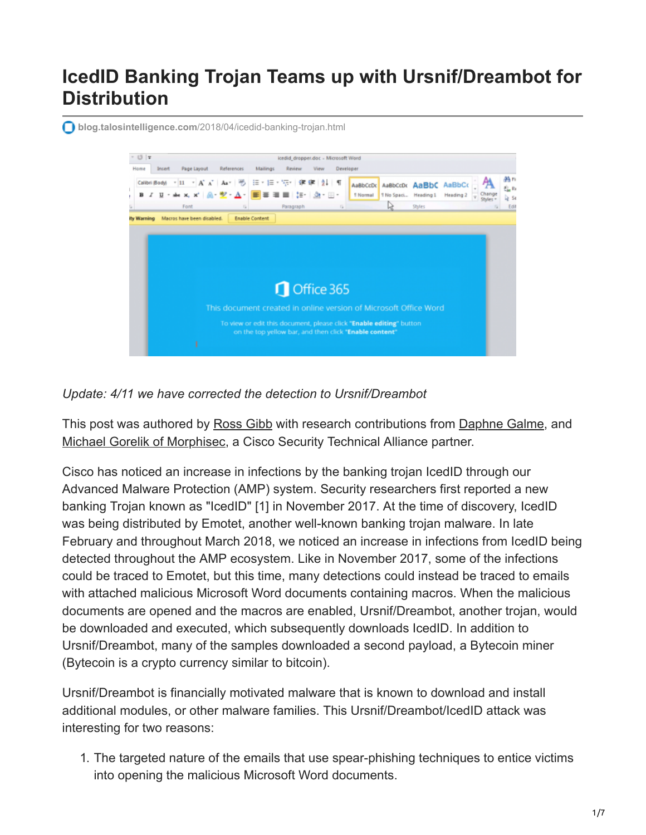# **IcedID Banking Trojan Teams up with Ursnif/Dreambot for Distribution**

**blog.talosintelligence.com**[/2018/04/icedid-banking-trojan.html](https://blog.talosintelligence.com/2018/04/icedid-banking-trojan.html)



*Update: 4/11 we have corrected the detection to Ursnif/Dreambot*

This post was authored by [Ross Gibb](https://blogs.cisco.com/author/rossgibb) with research contributions from [Daphne Galme,](https://blogs.cisco.com/author/daphnegalme) and [Michael Gorelik of Morphisec,](https://blog.morphisec.com/author/michael-gorelik) a Cisco Security Technical Alliance partner.

Cisco has noticed an increase in infections by the banking trojan IcedID through our Advanced Malware Protection (AMP) system. Security researchers first reported a new banking Trojan known as "IcedID" [1] in November 2017. At the time of discovery, IcedID was being distributed by Emotet, another well-known banking trojan malware. In late February and throughout March 2018, we noticed an increase in infections from IcedID being detected throughout the AMP ecosystem. Like in November 2017, some of the infections could be traced to Emotet, but this time, many detections could instead be traced to emails with attached malicious Microsoft Word documents containing macros. When the malicious documents are opened and the macros are enabled, Ursnif/Dreambot, another trojan, would be downloaded and executed, which subsequently downloads IcedID. In addition to Ursnif/Dreambot, many of the samples downloaded a second payload, a Bytecoin miner (Bytecoin is a crypto currency similar to bitcoin).

Ursnif/Dreambot is financially motivated malware that is known to download and install additional modules, or other malware families. This Ursnif/Dreambot/IcedID attack was interesting for two reasons:

1. The targeted nature of the emails that use spear-phishing techniques to entice victims into opening the malicious Microsoft Word documents.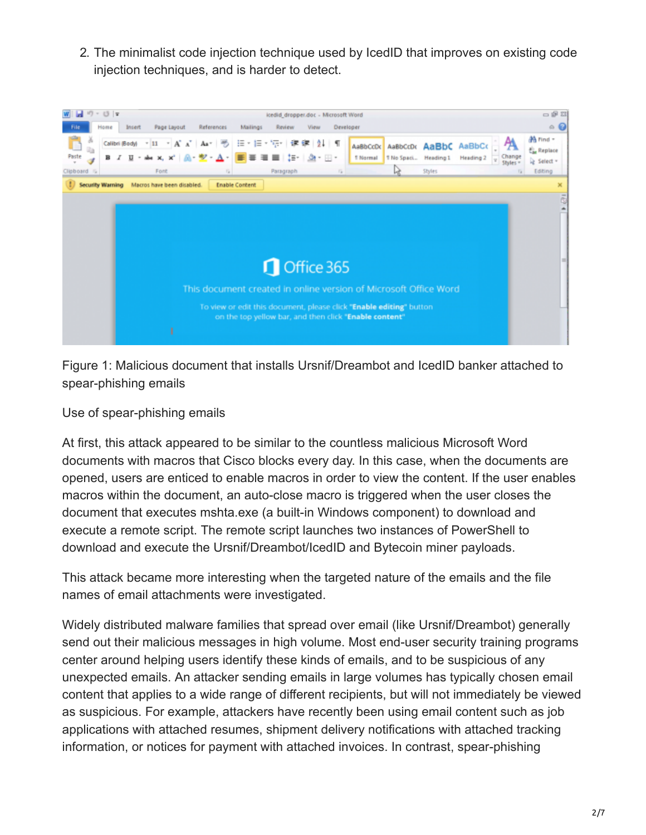2. The minimalist code injection technique used by IcedID that improves on existing code injection techniques, and is harder to detect.



Figure 1: Malicious document that installs Ursnif/Dreambot and IcedID banker attached to spear-phishing emails

Use of spear-phishing emails

At first, this attack appeared to be similar to the countless malicious Microsoft Word documents with macros that Cisco blocks every day. In this case, when the documents are opened, users are enticed to enable macros in order to view the content. If the user enables macros within the document, an auto-close macro is triggered when the user closes the document that executes mshta.exe (a built-in Windows component) to download and execute a remote script. The remote script launches two instances of PowerShell to download and execute the Ursnif/Dreambot/IcedID and Bytecoin miner payloads.

This attack became more interesting when the targeted nature of the emails and the file names of email attachments were investigated.

Widely distributed malware families that spread over email (like Ursnif/Dreambot) generally send out their malicious messages in high volume. Most end-user security training programs center around helping users identify these kinds of emails, and to be suspicious of any unexpected emails. An attacker sending emails in large volumes has typically chosen email content that applies to a wide range of different recipients, but will not immediately be viewed as suspicious. For example, attackers have recently been using email content such as job applications with attached resumes, shipment delivery notifications with attached tracking information, or notices for payment with attached invoices. In contrast, spear-phishing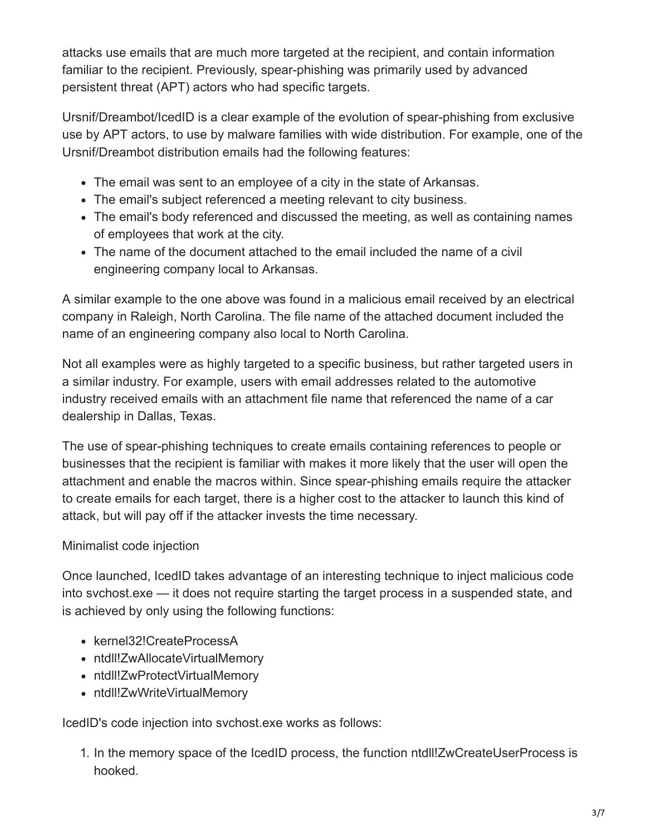attacks use emails that are much more targeted at the recipient, and contain information familiar to the recipient. Previously, spear-phishing was primarily used by advanced persistent threat (APT) actors who had specific targets.

Ursnif/Dreambot/IcedID is a clear example of the evolution of spear-phishing from exclusive use by APT actors, to use by malware families with wide distribution. For example, one of the Ursnif/Dreambot distribution emails had the following features:

- The email was sent to an employee of a city in the state of Arkansas.
- The email's subject referenced a meeting relevant to city business.
- The email's body referenced and discussed the meeting, as well as containing names of employees that work at the city.
- The name of the document attached to the email included the name of a civil engineering company local to Arkansas.

A similar example to the one above was found in a malicious email received by an electrical company in Raleigh, North Carolina. The file name of the attached document included the name of an engineering company also local to North Carolina.

Not all examples were as highly targeted to a specific business, but rather targeted users in a similar industry. For example, users with email addresses related to the automotive industry received emails with an attachment file name that referenced the name of a car dealership in Dallas, Texas.

The use of spear-phishing techniques to create emails containing references to people or businesses that the recipient is familiar with makes it more likely that the user will open the attachment and enable the macros within. Since spear-phishing emails require the attacker to create emails for each target, there is a higher cost to the attacker to launch this kind of attack, but will pay off if the attacker invests the time necessary.

#### Minimalist code injection

Once launched, IcedID takes advantage of an interesting technique to inject malicious code into svchost.exe — it does not require starting the target process in a suspended state, and is achieved by only using the following functions:

- kernel32!CreateProcessA
- ntdll!ZwAllocateVirtualMemory
- ntdll!ZwProtectVirtualMemory
- ntdll!ZwWriteVirtualMemory

IcedID's code injection into svchost.exe works as follows:

1. In the memory space of the IcedID process, the function ntdll!ZwCreateUserProcess is hooked.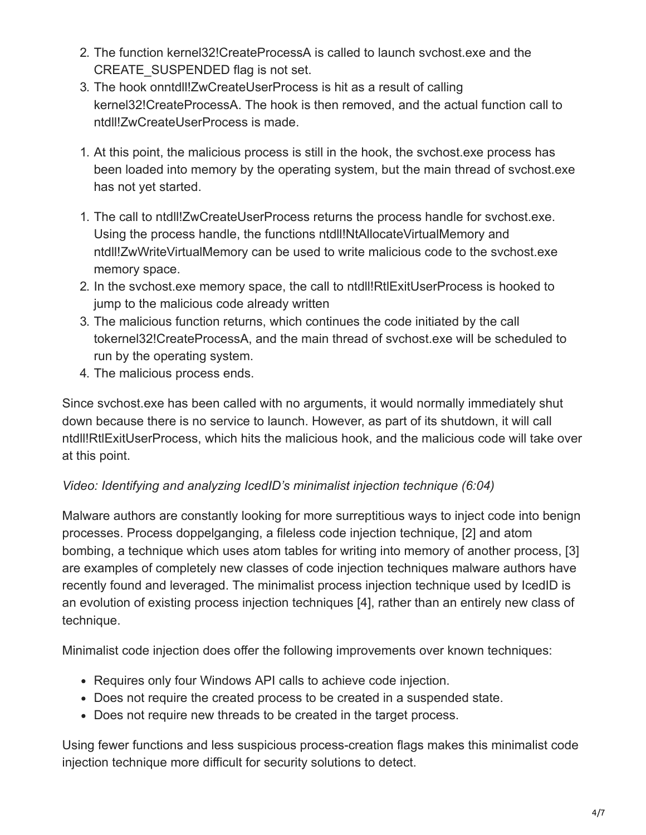- 2. The function kernel32!CreateProcessA is called to launch svchost.exe and the CREATE\_SUSPENDED flag is not set.
- 3. The hook onntdll!ZwCreateUserProcess is hit as a result of calling kernel32!CreateProcessA. The hook is then removed, and the actual function call to ntdll!ZwCreateUserProcess is made.
- 1. At this point, the malicious process is still in the hook, the svchost.exe process has been loaded into memory by the operating system, but the main thread of svchost.exe has not yet started.
- 1. The call to ntdll!ZwCreateUserProcess returns the process handle for svchost.exe. Using the process handle, the functions ntdll!NtAllocateVirtualMemory and ntdll!ZwWriteVirtualMemory can be used to write malicious code to the svchost.exe memory space.
- 2. In the svchost.exe memory space, the call to ntdll!RtlExitUserProcess is hooked to jump to the malicious code already written
- 3. The malicious function returns, which continues the code initiated by the call tokernel32!CreateProcessA, and the main thread of svchost.exe will be scheduled to run by the operating system.
- 4. The malicious process ends.

Since svchost.exe has been called with no arguments, it would normally immediately shut down because there is no service to launch. However, as part of its shutdown, it will call ntdll!RtlExitUserProcess, which hits the malicious hook, and the malicious code will take over at this point.

#### *Video: Identifying and analyzing IcedID's minimalist injection technique (6:04)*

Malware authors are constantly looking for more surreptitious ways to inject code into benign processes. Process doppelganging, a fileless code injection technique, [2] and atom bombing, a technique which uses atom tables for writing into memory of another process, [3] are examples of completely new classes of code injection techniques malware authors have recently found and leveraged. The minimalist process injection technique used by IcedID is an evolution of existing process injection techniques [4], rather than an entirely new class of technique.

Minimalist code injection does offer the following improvements over known techniques:

- Requires only four Windows API calls to achieve code injection.
- Does not require the created process to be created in a suspended state.
- Does not require new threads to be created in the target process.

Using fewer functions and less suspicious process-creation flags makes this minimalist code injection technique more difficult for security solutions to detect.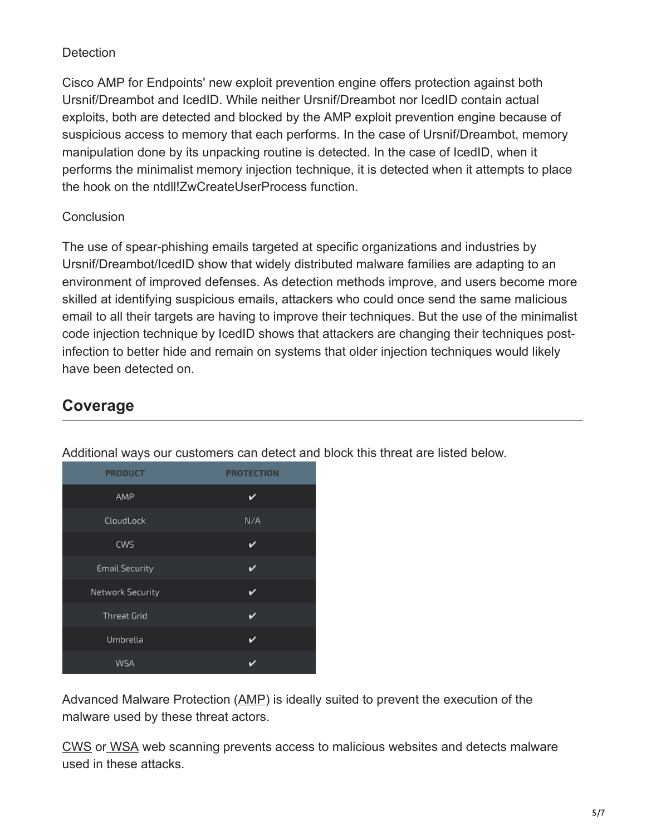#### **Detection**

Cisco AMP for Endpoints' new exploit prevention engine offers protection against both Ursnif/Dreambot and IcedID. While neither Ursnif/Dreambot nor IcedID contain actual exploits, both are detected and blocked by the AMP exploit prevention engine because of suspicious access to memory that each performs. In the case of Ursnif/Dreambot, memory manipulation done by its unpacking routine is detected. In the case of IcedID, when it performs the minimalist memory injection technique, it is detected when it attempts to place the hook on the ntdll!ZwCreateUserProcess function.

#### **Conclusion**

The use of spear-phishing emails targeted at specific organizations and industries by Ursnif/Dreambot/IcedID show that widely distributed malware families are adapting to an environment of improved defenses. As detection methods improve, and users become more skilled at identifying suspicious emails, attackers who could once send the same malicious email to all their targets are having to improve their techniques. But the use of the minimalist code injection technique by IcedID shows that attackers are changing their techniques postinfection to better hide and remain on systems that older injection techniques would likely have been detected on.

## **Coverage**

| <b>PRODUCT</b>        | <b>PROTECTION</b> |
|-----------------------|-------------------|
| AMP                   | v                 |
| CloudLock             | N/A               |
| CWS                   | v                 |
| <b>Email Security</b> | D                 |
| Network Security      | v                 |
| <b>Threat Grid</b>    | ✓                 |
| Umbrella              | ✓                 |
| WSA                   |                   |

Additional ways our customers can detect and block this threat are listed below.

Advanced Malware Protection ([AMP\)](https://www.cisco.com/c/en/us/products/security/advanced-malware-protection) is ideally suited to prevent the execution of the malware used by these threat actors.

[CWS](https://www.cisco.com/c/en/us/products/security/cloud-web-security/index.html) or [WSA](https://www.cisco.com/c/en/us/products/security/web-security-appliance/index.html) web scanning prevents access to malicious websites and detects malware used in these attacks.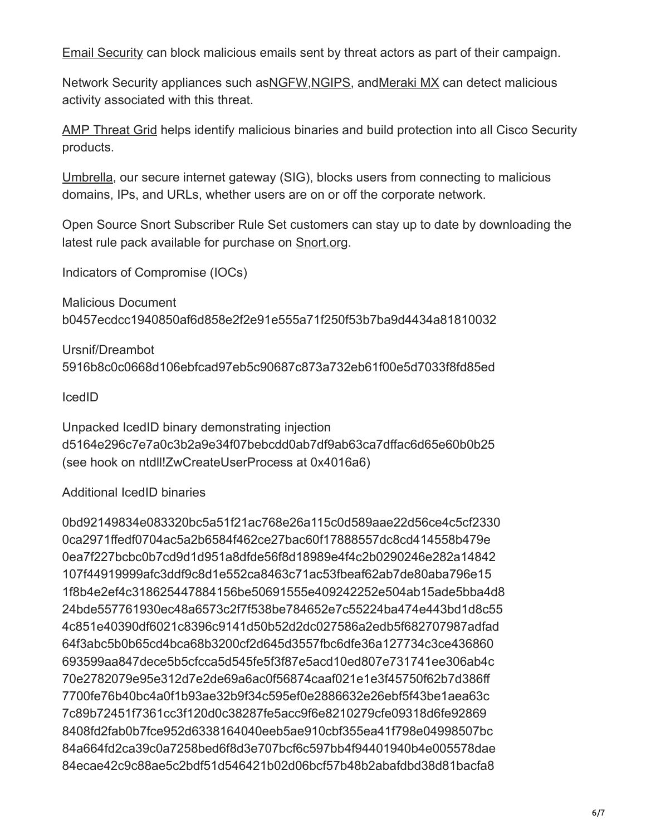[Email Security](https://www.cisco.com/c/en/us/products/security/email-security-appliance/index.html) can block malicious emails sent by threat actors as part of their campaign.

Network Security appliances such as[NGFW,](https://www.cisco.com/c/en/us/products/security/firewalls/index.html)[NGIPS](https://www.cisco.com/c/en/us/products/security/intrusion-prevention-system-ips/index.html), an[dMeraki MX](https://meraki.cisco.com/products/appliances) can detect malicious activity associated with this threat.

[AMP Threat Grid](https://www.cisco.com/c/en/us/solutions/enterprise-networks/amp-threat-grid/index.html) helps identify malicious binaries and build protection into all Cisco Security products.

[Umbrella](https://umbrella.cisco.com/), our secure internet gateway (SIG), blocks users from connecting to malicious domains, IPs, and URLs, whether users are on or off the corporate network.

Open Source Snort Subscriber Rule Set customers can stay up to date by downloading the latest rule pack available for purchase on **Snort.org**.

Indicators of Compromise (IOCs)

Malicious Document b0457ecdcc1940850af6d858e2f2e91e555a71f250f53b7ba9d4434a81810032

Ursnif/Dreambot 5916b8c0c0668d106ebfcad97eb5c90687c873a732eb61f00e5d7033f8fd85ed

IcedID

Unpacked IcedID binary demonstrating injection d5164e296c7e7a0c3b2a9e34f07bebcdd0ab7df9ab63ca7dffac6d65e60b0b25 (see hook on ntdll!ZwCreateUserProcess at 0x4016a6)

### Additional IcedID binaries

0bd92149834e083320bc5a51f21ac768e26a115c0d589aae22d56ce4c5cf2330 0ca2971ffedf0704ac5a2b6584f462ce27bac60f17888557dc8cd414558b479e 0ea7f227bcbc0b7cd9d1d951a8dfde56f8d18989e4f4c2b0290246e282a14842 107f44919999afc3ddf9c8d1e552ca8463c71ac53fbeaf62ab7de80aba796e15 1f8b4e2ef4c318625447884156be50691555e409242252e504ab15ade5bba4d8 24bde557761930ec48a6573c2f7f538be784652e7c55224ba474e443bd1d8c55 4c851e40390df6021c8396c9141d50b52d2dc027586a2edb5f682707987adfad 64f3abc5b0b65cd4bca68b3200cf2d645d3557fbc6dfe36a127734c3ce436860 693599aa847dece5b5cfcca5d545fe5f3f87e5acd10ed807e731741ee306ab4c 70e2782079e95e312d7e2de69a6ac0f56874caaf021e1e3f45750f62b7d386ff 7700fe76b40bc4a0f1b93ae32b9f34c595ef0e2886632e26ebf5f43be1aea63c 7c89b72451f7361cc3f120d0c38287fe5acc9f6e8210279cfe09318d6fe92869 8408fd2fab0b7fce952d6338164040eeb5ae910cbf355ea41f798e04998507bc 84a664fd2ca39c0a7258bed6f8d3e707bcf6c597bb4f94401940b4e005578dae 84ecae42c9c88ae5c2bdf51d546421b02d06bcf57b48b2abafdbd38d81bacfa8